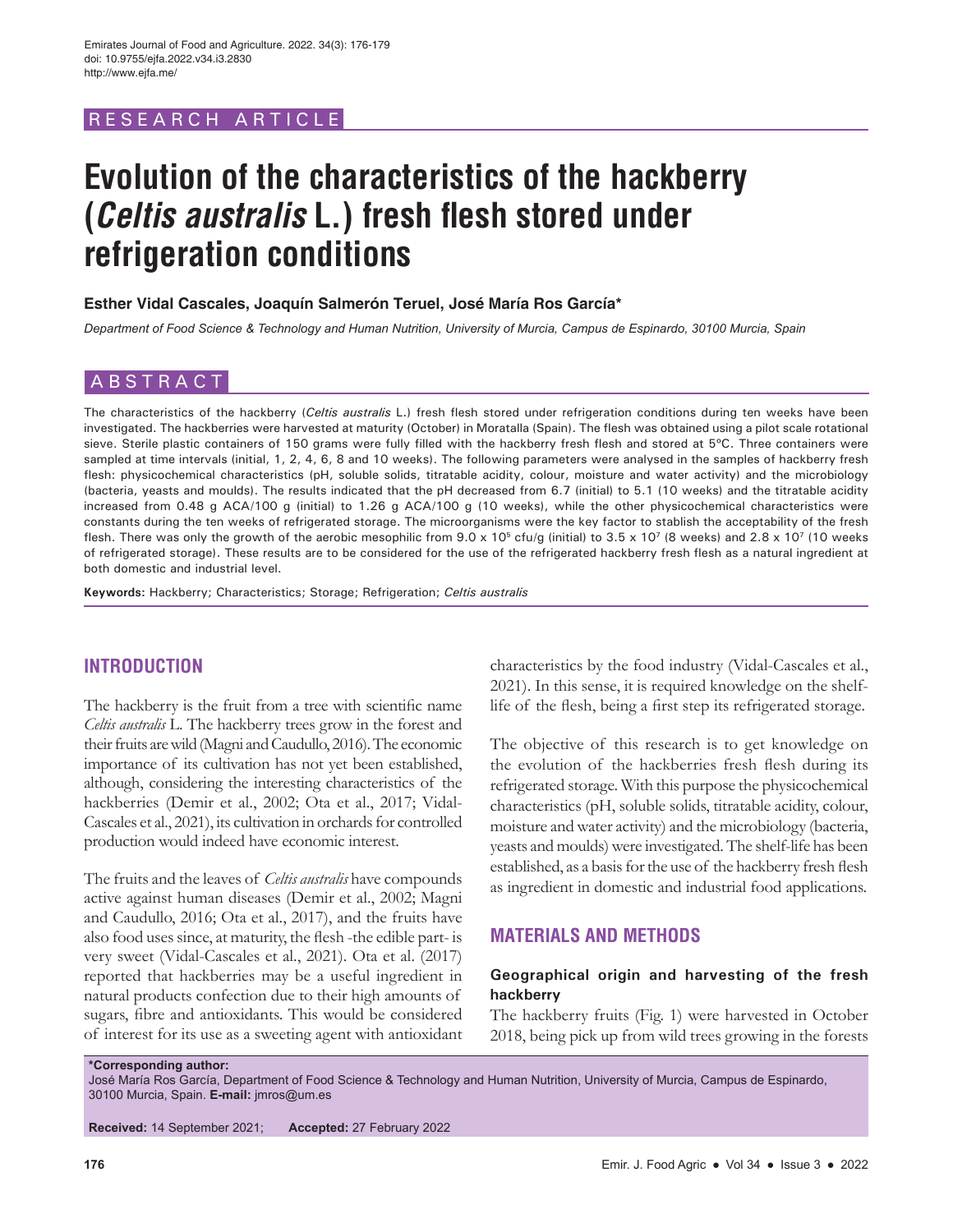## RESEARCH ARTICLE

# **Evolution of the characteristics of the hackberry (Celtis australis L.) fresh flesh stored under refrigeration conditions**

#### **Esther Vidal Cascales, Joaquín Salmerón Teruel, José María Ros García\***

*Department of Food Science & Technology and Human Nutrition, University of Murcia, Campus de Espinardo, 30100 Murcia, Spain*

# ABSTRACT

The characteristics of the hackberry (*Celtis australis* L.) fresh flesh stored under refrigeration conditions during ten weeks have been investigated. The hackberries were harvested at maturity (October) in Moratalla (Spain). The flesh was obtained using a pilot scale rotational sieve. Sterile plastic containers of 150 grams were fully filled with the hackberry fresh flesh and stored at 5°C. Three containers were sampled at time intervals (initial, 1, 2, 4, 6, 8 and 10 weeks). The following parameters were analysed in the samples of hackberry fresh flesh: physicochemical characteristics (pH, soluble solids, titratable acidity, colour, moisture and water activity) and the microbiology (bacteria, yeasts and moulds). The results indicated that the pH decreased from 6.7 (initial) to 5.1 (10 weeks) and the titratable acidity increased from 0.48 g ACA/100 g (initial) to 1.26 g ACA/100 g (10 weeks), while the other physicochemical characteristics were constants during the ten weeks of refrigerated storage. The microorganisms were the key factor to stablish the acceptability of the fresh flesh. There was only the growth of the aerobic mesophilic from  $9.0 \times 10^5$  cfu/g (initial) to  $3.5 \times 10^7$  (8 weeks) and  $2.8 \times 10^7$  (10 weeks of refrigerated storage). These results are to be considered for the use of the refrigerated hackberry fresh flesh as a natural ingredient at both domestic and industrial level.

**Keywords:** Hackberry; Characteristics; Storage; Refrigeration; *Celtis australis*

## **INTRODUCTION**

The hackberry is the fruit from a tree with scientific name *Celtis australis* L. The hackberry trees grow in the forest and their fruits are wild (Magni and Caudullo, 2016). The economic importance of its cultivation has not yet been established, although, considering the interesting characteristics of the hackberries (Demir et al., 2002; Ota et al., 2017; Vidal-Cascales et al., 2021), its cultivation in orchards for controlled production would indeed have economic interest.

The fruits and the leaves of *Celtis australis* have compounds active against human diseases (Demir et al., 2002; Magni and Caudullo, 2016; Ota et al., 2017), and the fruits have also food uses since, at maturity, the flesh -the edible part- is very sweet (Vidal-Cascales et al., 2021). Ota et al. (2017) reported that hackberries may be a useful ingredient in natural products confection due to their high amounts of sugars, fibre and antioxidants. This would be considered of interest for its use as a sweeting agent with antioxidant characteristics by the food industry (Vidal-Cascales et al., 2021). In this sense, it is required knowledge on the shelflife of the flesh, being a first step its refrigerated storage.

The objective of this research is to get knowledge on the evolution of the hackberries fresh flesh during its refrigerated storage. With this purpose the physicochemical characteristics (pH, soluble solids, titratable acidity, colour, moisture and water activity) and the microbiology (bacteria, yeasts and moulds) were investigated. The shelf-life has been established, as a basis for the use of the hackberry fresh flesh as ingredient in domestic and industrial food applications.

## **MATERIALS AND METHODS**

## **Geographical origin and harvesting of the fresh hackberry**

The hackberry fruits (Fig. 1) were harvested in October 2018, being pick up from wild trees growing in the forests

**\*Corresponding author:** José María Ros García, Department of Food Science & Technology and Human Nutrition, University of Murcia, Campus de Espinardo, 30100 Murcia, Spain. **E-mail:** jmros@um.es

**Received:** 14 September 2021; **Accepted:** 27 February 2022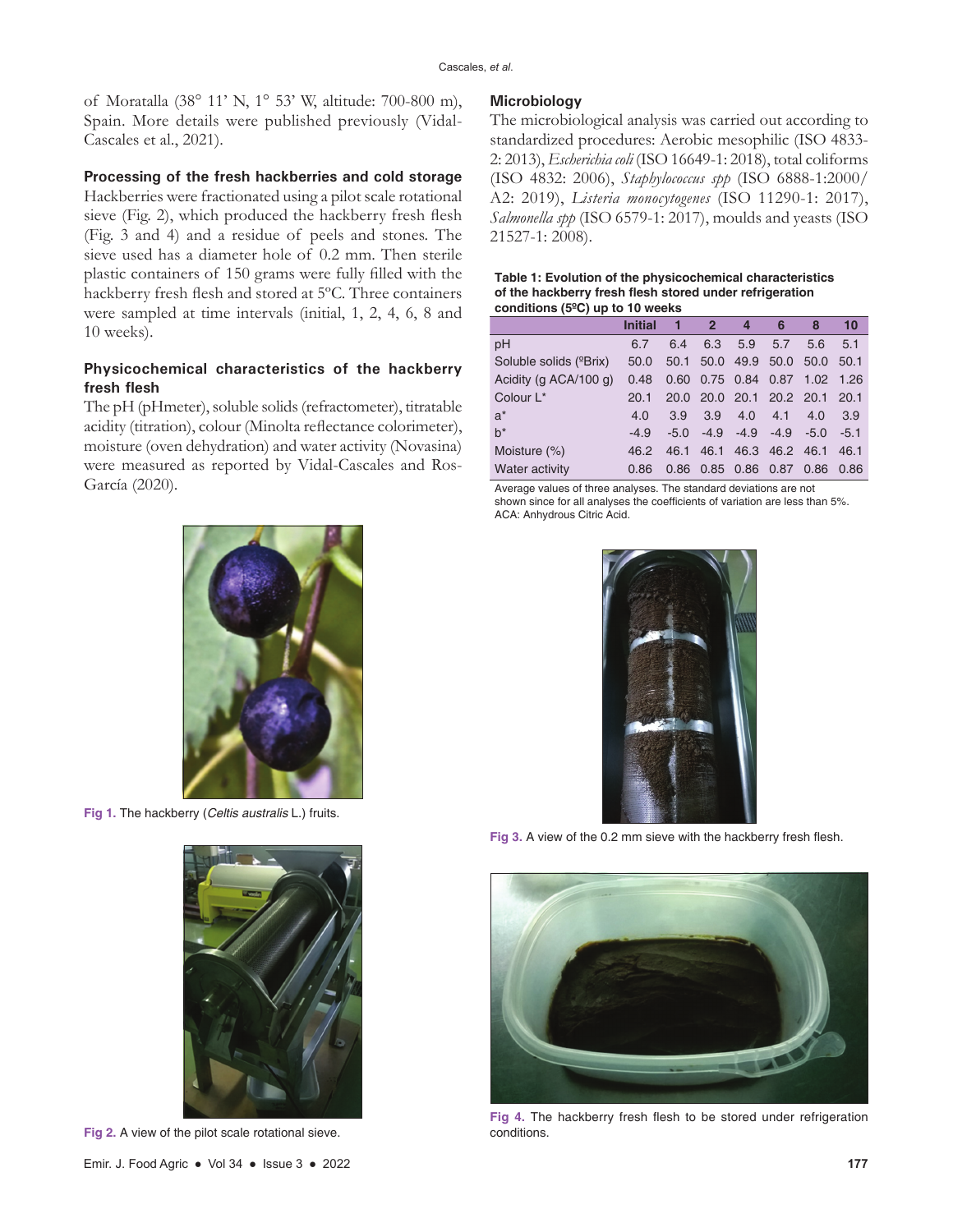of Moratalla (38° 11' N, 1° 53' W, altitude: 700-800 m), Spain. More details were published previously (Vidal-Cascales et al., 2021).

#### **Processing of the fresh hackberries and cold storage**

Hackberries were fractionated using a pilot scale rotational sieve (Fig. 2), which produced the hackberry fresh flesh (Fig. 3 and 4) and a residue of peels and stones. The sieve used has a diameter hole of 0.2 mm. Then sterile plastic containers of 150 grams were fully filled with the hackberry fresh flesh and stored at 5ºC. Three containers were sampled at time intervals (initial, 1, 2, 4, 6, 8 and 10 weeks).

### **Physicochemical characteristics of the hackberry fresh flesh**

The pH (pHmeter), soluble solids (refractometer), titratable acidity (titration), colour (Minolta reflectance colorimeter), moisture (oven dehydration) and water activity (Novasina) were measured as reported by Vidal-Cascales and Ros-García (2020).



**Fig 1.** The hackberry (*Celtis australis* L.) fruits.



**Fig 2.** A view of the pilot scale rotational sieve.

### **Microbiology**

The microbiological analysis was carried out according to standardized procedures: Aerobic mesophilic (ISO 4833- 2: 2013), *Escherichia coli* (ISO 16649-1: 2018), total coliforms (ISO 4832: 2006), *Staphylococcus spp* (ISO 6888-1:2000/ A2: 2019), *Listeria monocytogenes* (ISO 11290-1: 2017), *Salmonella spp* (ISO 6579-1: 2017), moulds and yeasts (ISO 21527-1: 2008).

#### **Table 1: Evolution of the physicochemical characteristics of the hackberry fresh flesh stored under refrigeration conditions (5ºC) up to 10 weeks**

|                                     | <b>Initial</b> |        | $\overline{2}$ | 4                           | 6              | 8                             | 10     |
|-------------------------------------|----------------|--------|----------------|-----------------------------|----------------|-------------------------------|--------|
| pH                                  | 6.7            | 6.4    | 6.3            | 5.9                         | 5.7            | 5.6                           | 5.1    |
| Soluble solids ( <sup>o</sup> Brix) | 50.0           | 50.1   |                | 50.0 49.9                   |                | 50.0 50.0 50.1                |        |
| Acidity (g ACA/100 g)               | 0.48           |        |                | 0.60 0.75 0.84 0.87         |                | $1.02$ 1.26                   |        |
| Colour L <sup>*</sup>               | 20.1           |        |                |                             |                | 20.0 20.0 20.1 20.2 20.1 20.1 |        |
| $a^*$                               | 4.0            | 3.9    | 3.9            | 4.0                         | 4.1            | 4.0                           | 3.9    |
| $h^*$                               | $-4.9$         | $-5.0$ |                | $-4.9$ $-4.9$ $-4.9$ $-5.0$ |                |                               | $-5.1$ |
| Moisture $(\%)$                     | 46.2           | 46.1   | 46.1           |                             | 46.3 46.2 46.1 |                               | 46.1   |
| Water activity                      | 0.86           | 0.86   |                | $0.85$ 0.86                 | 0.87           | 0.86                          | 0.86   |

Average values of three analyses. The standard deviations are not shown since for all analyses the coefficients of variation are less than 5%. ACA: Anhydrous Citric Acid.



**Fig 3.** A view of the 0.2 mm sieve with the hackberry fresh flesh.



**Fig 4.** The hackberry fresh flesh to be stored under refrigeration conditions.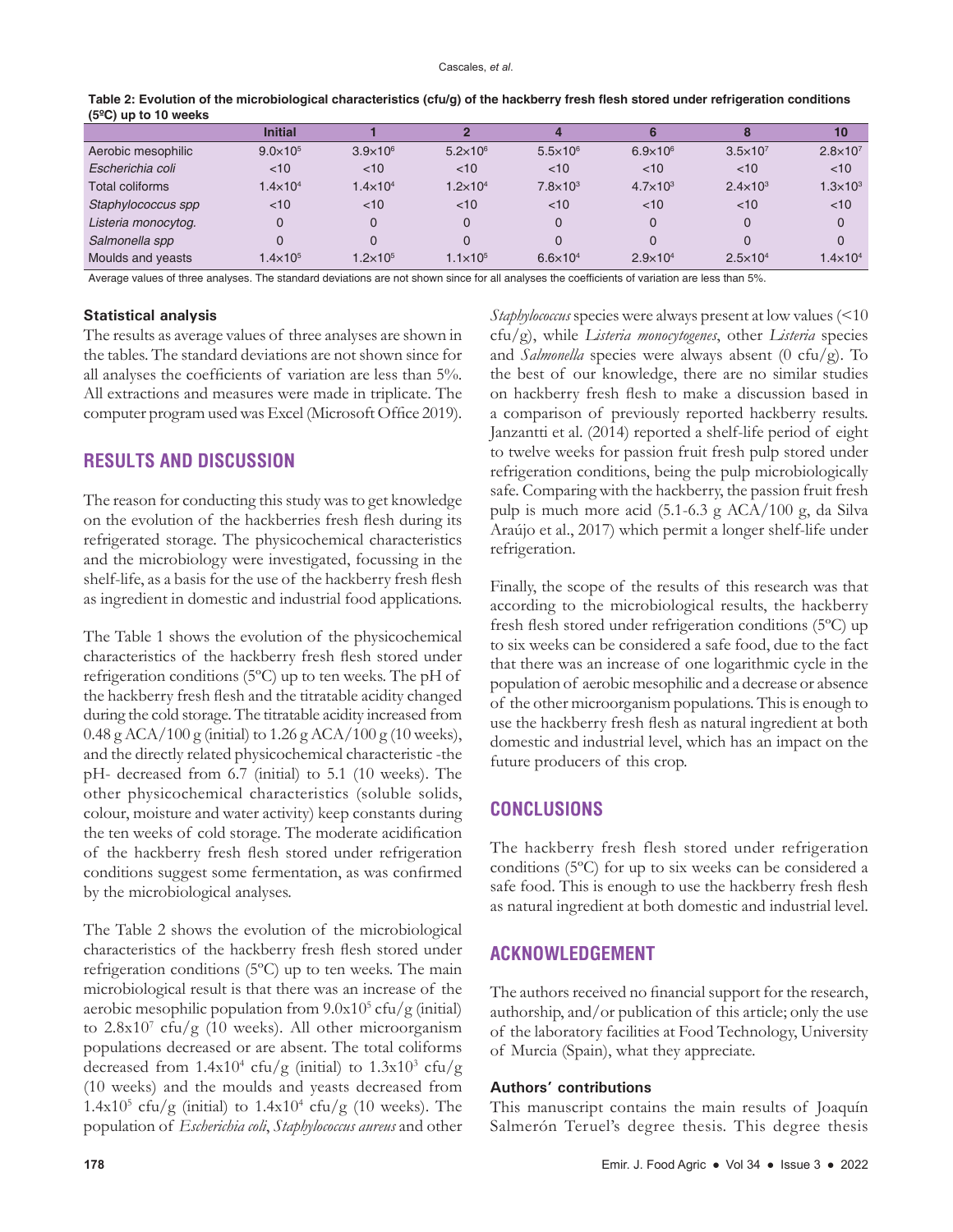|                     | <b>Initial</b>      |                     |                     |                     |                     |                     | 10                  |
|---------------------|---------------------|---------------------|---------------------|---------------------|---------------------|---------------------|---------------------|
| Aerobic mesophilic  | $9.0 \times 10^{5}$ | $3.9\times10^{6}$   | $5.2 \times 10^6$   | $5.5 \times 10^{6}$ | $6.9 \times 10^{6}$ | $3.5 \times 10^{7}$ | $2.8 \times 10^{7}$ |
| Escherichia coli    | $<$ 10              | < 10                | $<$ 10              | $<$ 10              | $<$ 10              | $<$ 10              | < 10                |
| Total coliforms     | $1.4 \times 10^{4}$ | $1.4 \times 10^{4}$ | $1.2 \times 10^{4}$ | $7.8 \times 10^3$   | $4.7 \times 10^{3}$ | $2.4 \times 10^{3}$ | $1.3 \times 10^{3}$ |
| Staphylococcus spp  | $<$ 10              | $<$ 10              | $<$ 10              | < 10                | $<$ 10              | $<$ 10              | $<$ 10              |
| Listeria monocytog. | 0                   |                     | $\Omega$            |                     | $\Omega$            |                     | $\Omega$            |
| Salmonella spp      | 0                   |                     | 0                   |                     |                     |                     |                     |
| Moulds and yeasts   | $1.4 \times 10^{5}$ | $1.2\times10^{5}$   | $1.1 \times 10^{5}$ | $6.6 \times 10^{4}$ | $2.9 \times 10^{4}$ | $2.5 \times 10^{4}$ | $1.4\times10^{4}$   |

**Table 2: Evolution of the microbiological characteristics (cfu/g) of the hackberry fresh flesh stored under refrigeration conditions (5ºC) up to 10 weeks**

Average values of three analyses. The standard deviations are not shown since for all analyses the coefficients of variation are less than 5%.

#### **Statistical analysis**

The results as average values of three analyses are shown in the tables. The standard deviations are not shown since for all analyses the coefficients of variation are less than 5%. All extractions and measures were made in triplicate. The computer program used was Excel (Microsoft Office 2019).

## **RESULTS AND DISCUSSION**

The reason for conducting this study was to get knowledge on the evolution of the hackberries fresh flesh during its refrigerated storage. The physicochemical characteristics and the microbiology were investigated, focussing in the shelf-life, as a basis for the use of the hackberry fresh flesh as ingredient in domestic and industrial food applications.

The Table 1 shows the evolution of the physicochemical characteristics of the hackberry fresh flesh stored under refrigeration conditions (5ºC) up to ten weeks. The pH of the hackberry fresh flesh and the titratable acidity changed during the cold storage. The titratable acidity increased from 0.48 g ACA/100 g (initial) to 1.26 g ACA/100 g (10 weeks), and the directly related physicochemical characteristic -the pH- decreased from 6.7 (initial) to 5.1 (10 weeks). The other physicochemical characteristics (soluble solids, colour, moisture and water activity) keep constants during the ten weeks of cold storage. The moderate acidification of the hackberry fresh flesh stored under refrigeration conditions suggest some fermentation, as was confirmed by the microbiological analyses.

The Table 2 shows the evolution of the microbiological characteristics of the hackberry fresh flesh stored under refrigeration conditions (5ºC) up to ten weeks. The main microbiological result is that there was an increase of the aerobic mesophilic population from  $9.0x10<sup>5</sup>$  cfu/g (initial) to  $2.8x10<sup>7</sup>$  cfu/g (10 weeks). All other microorganism populations decreased or are absent. The total coliforms decreased from  $1.4x10^4$  cfu/g (initial) to  $1.3x10^3$  cfu/g (10 weeks) and the moulds and yeasts decreased from  $1.4x10<sup>5</sup>$  cfu/g (initial) to  $1.4x10<sup>4</sup>$  cfu/g (10 weeks). The population of *Escherichia coli*, *Staphylococcus aureus* and other

*Staphylococcus* species were always present at low values (<10 cfu/g), while *Listeria monocytogenes*, other *Listeria* species and *Salmonella* species were always absent (0 cfu/g). To the best of our knowledge, there are no similar studies on hackberry fresh flesh to make a discussion based in a comparison of previously reported hackberry results. Janzantti et al. (2014) reported a shelf-life period of eight to twelve weeks for passion fruit fresh pulp stored under refrigeration conditions, being the pulp microbiologically safe. Comparing with the hackberry, the passion fruit fresh pulp is much more acid (5.1-6.3 g ACA/100 g, da Silva Araújo et al., 2017) which permit a longer shelf-life under refrigeration.

Finally, the scope of the results of this research was that according to the microbiological results, the hackberry fresh flesh stored under refrigeration conditions (5ºC) up to six weeks can be considered a safe food, due to the fact that there was an increase of one logarithmic cycle in the population of aerobic mesophilic and a decrease or absence of the other microorganism populations. This is enough to use the hackberry fresh flesh as natural ingredient at both domestic and industrial level, which has an impact on the future producers of this crop.

## **CONCLUSIONS**

The hackberry fresh flesh stored under refrigeration conditions (5ºC) for up to six weeks can be considered a safe food. This is enough to use the hackberry fresh flesh as natural ingredient at both domestic and industrial level.

## **ACKNOWLEDGEMENT**

The authors received no financial support for the research, authorship, and/or publication of this article; only the use of the laboratory facilities at Food Technology, University of Murcia (Spain), what they appreciate.

#### **Authors' contributions**

This manuscript contains the main results of Joaquín Salmerón Teruel's degree thesis. This degree thesis